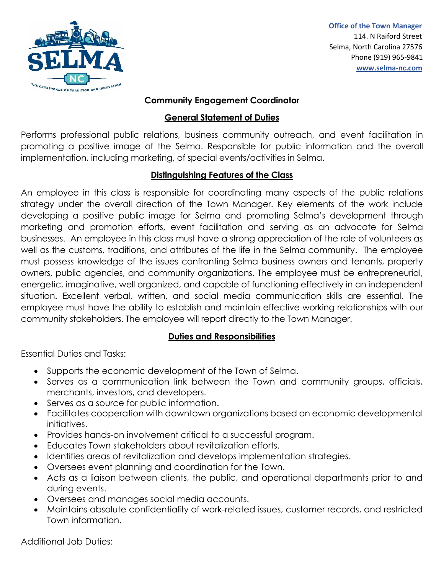

 **Office of the Town Manager**  114. N Raiford Street Selma, North Carolina 27576 Phone (919) 965-9841  **[www.selma-nc.com](http://www.selma-nc.com/)**

#### **Community Engagement Coordinator**

### **General Statement of Duties**

Performs professional public relations, business community outreach, and event facilitation in promoting a positive image of the Selma. Responsible for public information and the overall implementation, including marketing, of special events/activities in Selma.

## **Distinguishing Features of the Class**

An employee in this class is responsible for coordinating many aspects of the public relations strategy under the overall direction of the Town Manager. Key elements of the work include developing a positive public image for Selma and promoting Selma's development through marketing and promotion efforts, event facilitation and serving as an advocate for Selma businesses. An employee in this class must have a strong appreciation of the role of volunteers as well as the customs, traditions, and attributes of the life in the Selma community. The employee must possess knowledge of the issues confronting Selma business owners and tenants, property owners, public agencies, and community organizations. The employee must be entrepreneurial, energetic, imaginative, well organized, and capable of functioning effectively in an independent situation. Excellent verbal, written, and social media communication skills are essential. The employee must have the ability to establish and maintain effective working relationships with our community stakeholders. The employee will report directly to the Town Manager.

# **Duties and Responsibilities**

### Essential Duties and Tasks:

- Supports the economic development of the Town of Selma.
- Serves as a communication link between the Town and community groups, officials, merchants, investors, and developers.
- Serves as a source for public information.
- Facilitates cooperation with downtown organizations based on economic developmental initiatives.
- Provides hands-on involvement critical to a successful program.
- Educates Town stakeholders about revitalization efforts.
- Identifies areas of revitalization and develops implementation strategies.
- Oversees event planning and coordination for the Town.
- Acts as a liaison between clients, the public, and operational departments prior to and during events.
- Oversees and manages social media accounts.
- Maintains absolute confidentiality of work-related issues, customer records, and restricted Town information.

### Additional Job Duties: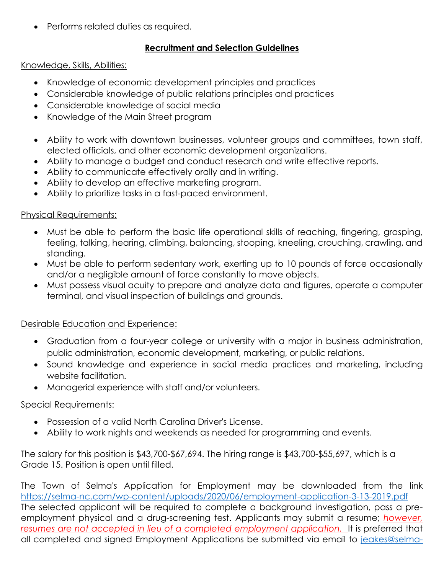• Performs related duties as required.

### **Recruitment and Selection Guidelines**

#### Knowledge, Skills, Abilities:

- Knowledge of economic development principles and practices
- Considerable knowledge of public relations principles and practices
- Considerable knowledge of social media
- Knowledge of the Main Street program
- Ability to work with downtown businesses, volunteer groups and committees, town staff, elected officials, and other economic development organizations.
- Ability to manage a budget and conduct research and write effective reports.
- Ability to communicate effectively orally and in writing.
- Ability to develop an effective marketing program.
- Ability to prioritize tasks in a fast-paced environment.

### Physical Requirements:

- Must be able to perform the basic life operational skills of reaching, fingering, grasping, feeling, talking, hearing, climbing, balancing, stooping, kneeling, crouching, crawling, and standing.
- Must be able to perform sedentary work, exerting up to 10 pounds of force occasionally and/or a negligible amount of force constantly to move objects.
- Must possess visual acuity to prepare and analyze data and figures, operate a computer terminal, and visual inspection of buildings and grounds.

### Desirable Education and Experience:

- Graduation from a four-year college or university with a major in business administration, public administration, economic development, marketing, or public relations.
- Sound knowledge and experience in social media practices and marketing, including website facilitation.
- Managerial experience with staff and/or volunteers.

### Special Requirements:

- Possession of a valid North Carolina Driver's License.
- Ability to work nights and weekends as needed for programming and events.

The salary for this position is \$43,700-\$67,694. The hiring range is \$43,700-\$55,697, which is a Grade 15. Position is open until filled.

The Town of Selma's Application for Employment may be downloaded from the link <https://selma-nc.com/wp-content/uploads/2020/06/employment-application-3-13-2019.pdf> The selected applicant will be required to complete a background investigation, pass a preemployment physical and a drug-screening test. Applicants may submit a resume; *however,*  resumes are not accepted in lieu of a completed employment application. It is preferred that all completed and signed Employment Applications be submitted via email to [jeakes@selma-](mailto:jeakes@selma-nc.com)